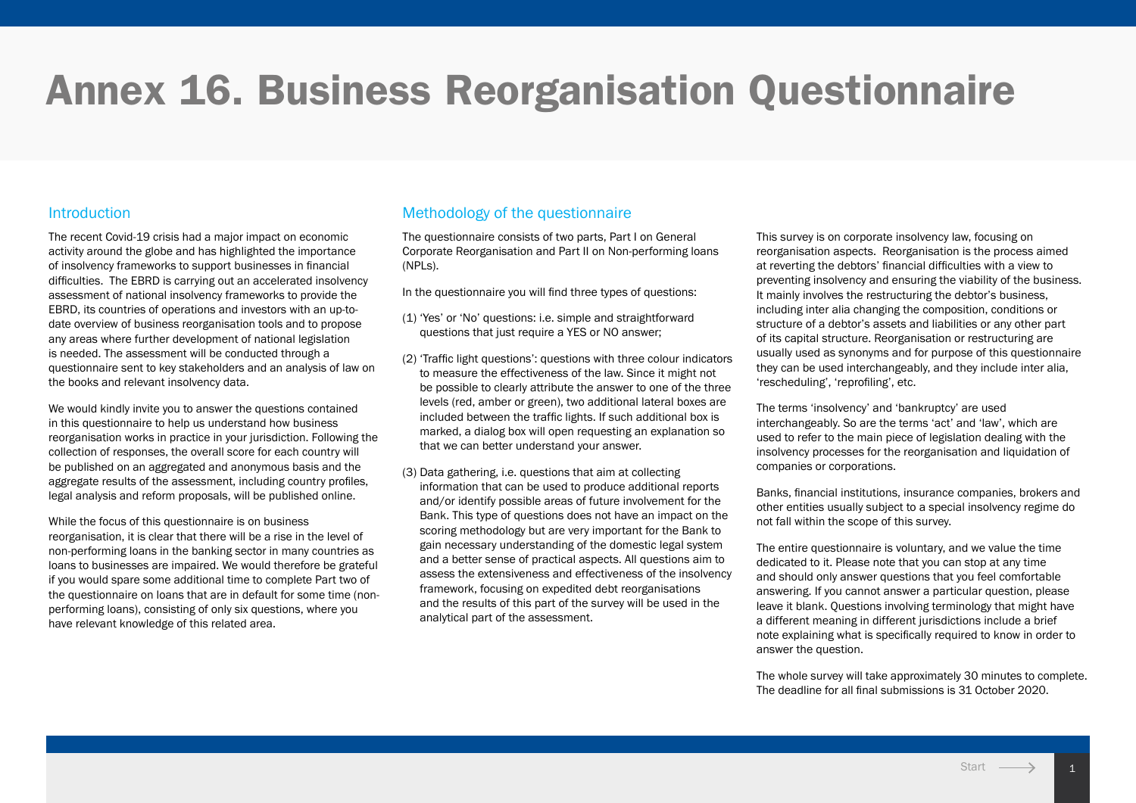# Annex 16. Business Reorganisation Questionnaire

## **Introduction**

The recent Covid-19 crisis had a major impact on economic activity around the globe and has highlighted the importance of insolvency frameworks to support businesses in financial difficulties. The EBRD is carrying out an accelerated insolvency assessment of national insolvency frameworks to provide the EBRD, its countries of operations and investors with an up-todate overview of business reorganisation tools and to propose any areas where further development of national legislation is needed. The assessment will be conducted through a questionnaire sent to key stakeholders and an analysis of law on the books and relevant insolvency data.

We would kindly invite you to answer the questions contained in this questionnaire to help us understand how business reorganisation works in practice in your jurisdiction. Following the collection of responses, the overall score for each country will be published on an aggregated and anonymous basis and the aggregate results of the assessment, including country profiles, legal analysis and reform proposals, will be published online.

While the focus of this questionnaire is on business reorganisation, it is clear that there will be a rise in the level of non-performing loans in the banking sector in many countries as loans to businesses are impaired. We would therefore be grateful if you would spare some additional time to complete Part two of the questionnaire on loans that are in default for some time (nonperforming loans), consisting of only six questions, where you have relevant knowledge of this related area.

# Methodology of the questionnaire

The questionnaire consists of two parts, Part I on General Corporate Reorganisation and Part II on Non-performing loans (NPLs).

In the questionnaire you will find three types of questions:

- (1) 'Yes' or 'No' questions: i.e. simple and straightforward questions that just require a YES or NO answer;
- (2) 'Traffic light questions': questions with three colour indicators to measure the effectiveness of the law. Since it might not be possible to clearly attribute the answer to one of the three levels (red, amber or green), two additional lateral boxes are included between the traffic lights. If such additional box is marked, a dialog box will open requesting an explanation so that we can better understand your answer.
- (3) Data gathering, i.e. questions that aim at collecting information that can be used to produce additional reports and/or identify possible areas of future involvement for the Bank. This type of questions does not have an impact on the scoring methodology but are very important for the Bank to gain necessary understanding of the domestic legal system and a better sense of practical aspects. All questions aim to assess the extensiveness and effectiveness of the insolvency framework, focusing on expedited debt reorganisations and the results of this part of the survey will be used in the analytical part of the assessment.

This survey is on corporate insolvency law, focusing on reorganisation aspects. Reorganisation is the process aimed at reverting the debtors' financial difficulties with a view to preventing insolvency and ensuring the viability of the business. It mainly involves the restructuring the debtor's business, including inter alia changing the composition, conditions or structure of a debtor's assets and liabilities or any other part of its capital structure. Reorganisation or restructuring are usually used as synonyms and for purpose of this questionnaire they can be used interchangeably, and they include inter alia, 'rescheduling', 'reprofiling', etc.

The terms 'insolvency' and 'bankruptcy' are used interchangeably. So are the terms 'act' and 'law', which are used to refer to the main piece of legislation dealing with the insolvency processes for the reorganisation and liquidation of companies or corporations.

Banks, financial institutions, insurance companies, brokers and other entities usually subject to a special insolvency regime do not fall within the scope of this survey.

The entire questionnaire is voluntary, and we value the time dedicated to it. Please note that you can stop at any time and should only answer questions that you feel comfortable answering. If you cannot answer a particular question, please leave it blank. Questions involving terminology that might have a different meaning in different jurisdictions include a brief note explaining what is specifically required to know in order to answer the question.

The whole survey will take approximately 30 minutes to complete. The deadline for all final submissions is 31 October 2020.

11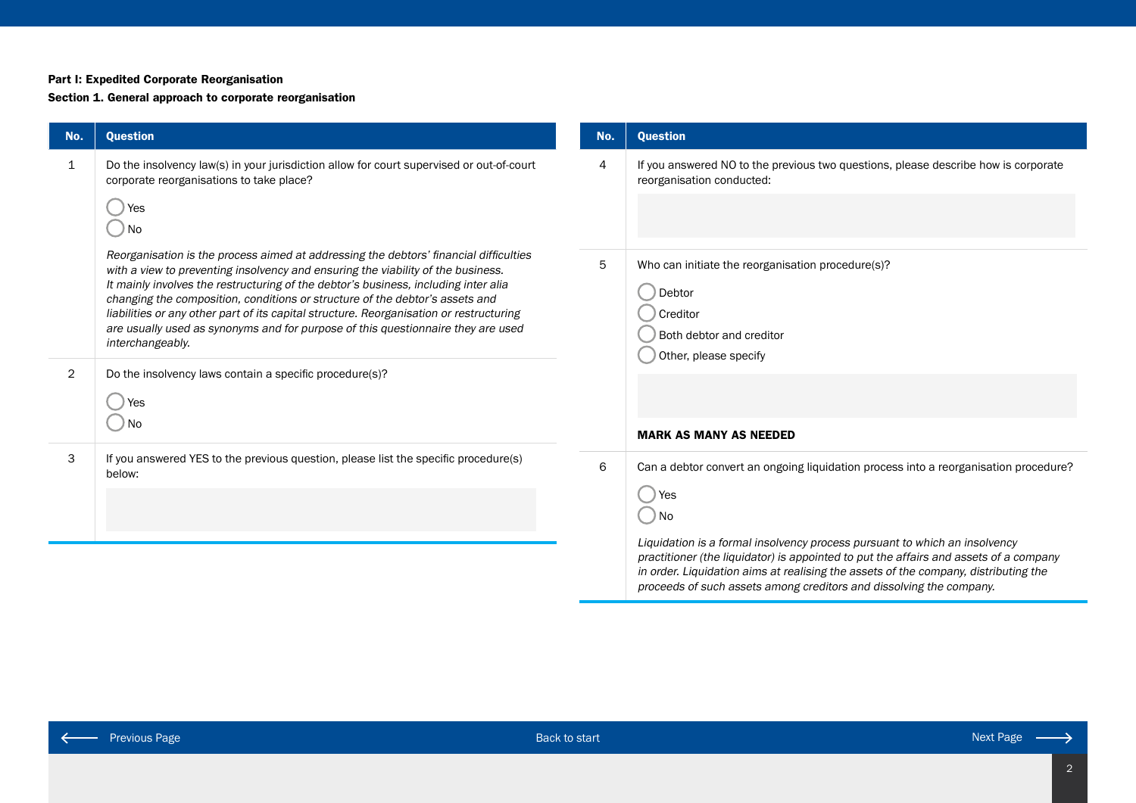#### Part I: Expedited Corporate Reorganisation

#### Section 1. General approach to corporate reorganisation

| No.            | <b>Question</b>                                                                                                                                                                                                                                                                                                                                                                                                                                                                                                                                     | No. | <b>Question</b>                                                                                                                                                                                                                                            |
|----------------|-----------------------------------------------------------------------------------------------------------------------------------------------------------------------------------------------------------------------------------------------------------------------------------------------------------------------------------------------------------------------------------------------------------------------------------------------------------------------------------------------------------------------------------------------------|-----|------------------------------------------------------------------------------------------------------------------------------------------------------------------------------------------------------------------------------------------------------------|
| 1              | Do the insolvency law(s) in your jurisdiction allow for court supervised or out-of-court<br>corporate reorganisations to take place?                                                                                                                                                                                                                                                                                                                                                                                                                | 4   | If you answered NO to the previous two questions, please describe how is corporate<br>reorganisation conducted:                                                                                                                                            |
|                | Yes<br>$)$ No                                                                                                                                                                                                                                                                                                                                                                                                                                                                                                                                       |     |                                                                                                                                                                                                                                                            |
|                | Reorganisation is the process aimed at addressing the debtors' financial difficulties<br>with a view to preventing insolvency and ensuring the viability of the business.<br>It mainly involves the restructuring of the debtor's business, including inter alia<br>changing the composition, conditions or structure of the debtor's assets and<br>liabilities or any other part of its capital structure. Reorganisation or restructuring<br>are usually used as synonyms and for purpose of this questionnaire they are used<br>interchangeably. | 5   | Who can initiate the reorganisation procedure(s)?<br>Debtor<br>Creditor<br>Both debtor and creditor<br>Other, please specify                                                                                                                               |
| $\overline{2}$ | Do the insolvency laws contain a specific procedure(s)?<br>Yes<br>$)$ No                                                                                                                                                                                                                                                                                                                                                                                                                                                                            |     |                                                                                                                                                                                                                                                            |
|                |                                                                                                                                                                                                                                                                                                                                                                                                                                                                                                                                                     |     | <b>MARK AS MANY AS NEEDED</b>                                                                                                                                                                                                                              |
| 3              | If you answered YES to the previous question, please list the specific procedure(s)<br>below:                                                                                                                                                                                                                                                                                                                                                                                                                                                       | 6   | Can a debtor convert an ongoing liquidation process into a reorganisation procedure?                                                                                                                                                                       |
|                |                                                                                                                                                                                                                                                                                                                                                                                                                                                                                                                                                     |     | $\bigcup$ Yes<br>$\bigcirc$ No                                                                                                                                                                                                                             |
|                |                                                                                                                                                                                                                                                                                                                                                                                                                                                                                                                                                     |     | Liquidation is a formal insolvency process pursuant to which an insolvency<br>practitioner (the liquidator) is appointed to put the affairs and assets of a company<br>in order. Liquidation aims at realising the assets of the company, distributing the |

 $\leftarrow$ 

proceeds of such assets among creditors and dissolving the company.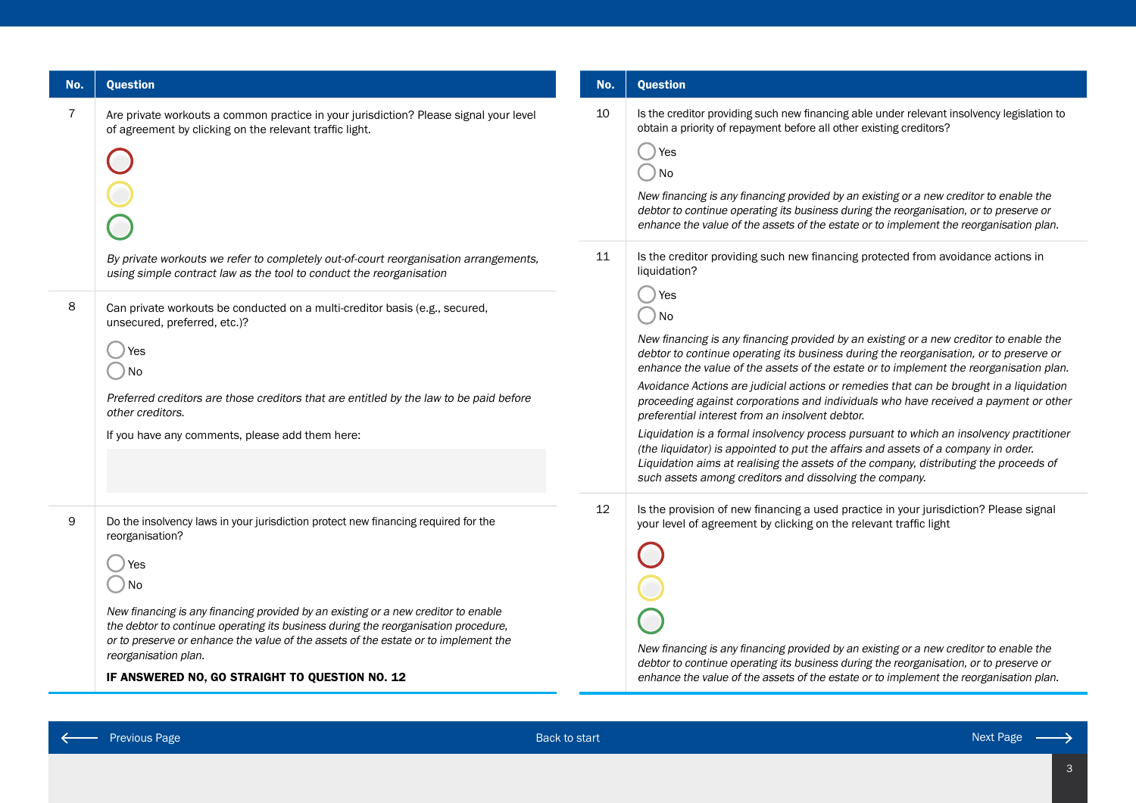| No.            | <b>Question</b>                                                                                                                                                                                                                                                                                                                                                                                                                                            | No.               | <b>Question</b>                                                                                                                                                                                                                                                                                                                                                                                                                                                                                                                                                                                                                                                                                                                                                                                                                                             |
|----------------|------------------------------------------------------------------------------------------------------------------------------------------------------------------------------------------------------------------------------------------------------------------------------------------------------------------------------------------------------------------------------------------------------------------------------------------------------------|-------------------|-------------------------------------------------------------------------------------------------------------------------------------------------------------------------------------------------------------------------------------------------------------------------------------------------------------------------------------------------------------------------------------------------------------------------------------------------------------------------------------------------------------------------------------------------------------------------------------------------------------------------------------------------------------------------------------------------------------------------------------------------------------------------------------------------------------------------------------------------------------|
| $\overline{7}$ | Are private workouts a common practice in your jurisdiction? Please signal your level<br>of agreement by clicking on the relevant traffic light.<br>By private workouts we refer to completely out-of-court reorganisation arrangements,<br>using simple contract law as the tool to conduct the reorganisation                                                                                                                                            | 10<br>11          | Is the creditor providing such new financing able under relevant insolvency legislation to<br>obtain a priority of repayment before all other existing creditors?<br>Yes<br>No<br>New financing is any financing provided by an existing or a new creditor to enable the<br>debtor to continue operating its business during the reorganisation, or to preserve or<br>enhance the value of the assets of the estate or to implement the reorganisation plan.<br>Is the creditor providing such new financing protected from avoidance actions in<br>liquidation?<br>Yes                                                                                                                                                                                                                                                                                     |
| 8              | Can private workouts be conducted on a multi-creditor basis (e.g., secured,<br>unsecured, preferred, etc.)?<br>Yes<br>) No<br>Preferred creditors are those creditors that are entitled by the law to be paid before<br>other creditors.<br>If you have any comments, please add them here:                                                                                                                                                                |                   | No<br>New financing is any financing provided by an existing or a new creditor to enable the<br>debtor to continue operating its business during the reorganisation, or to preserve or<br>enhance the value of the assets of the estate or to implement the reorganisation plan.<br>Avoidance Actions are judicial actions or remedies that can be brought in a liquidation<br>proceeding against corporations and individuals who have received a payment or other<br>preferential interest from an insolvent debtor.<br>Liquidation is a formal insolvency process pursuant to which an insolvency practitioner<br>(the liquidator) is appointed to put the affairs and assets of a company in order.<br>Liquidation aims at realising the assets of the company, distributing the proceeds of<br>such assets among creditors and dissolving the company. |
| 9              | Do the insolvency laws in your jurisdiction protect new financing required for the<br>reorganisation?<br>) No<br>New financing is any financing provided by an existing or a new creditor to enable<br>the debtor to continue operating its business during the reorganisation procedure,<br>or to preserve or enhance the value of the assets of the estate or to implement the<br>reorganisation plan.<br>IF ANSWERED NO, GO STRAIGHT TO QUESTION NO. 12 | $12 \overline{ }$ | Is the provision of new financing a used practice in your jurisdiction? Please signal<br>your level of agreement by clicking on the relevant traffic light<br>New financing is any financing provided by an existing or a new creditor to enable the<br>debtor to continue operating its business during the reorganisation, or to preserve or<br>enhance the value of the assets of the estate or to implement the reorganisation plan.                                                                                                                                                                                                                                                                                                                                                                                                                    |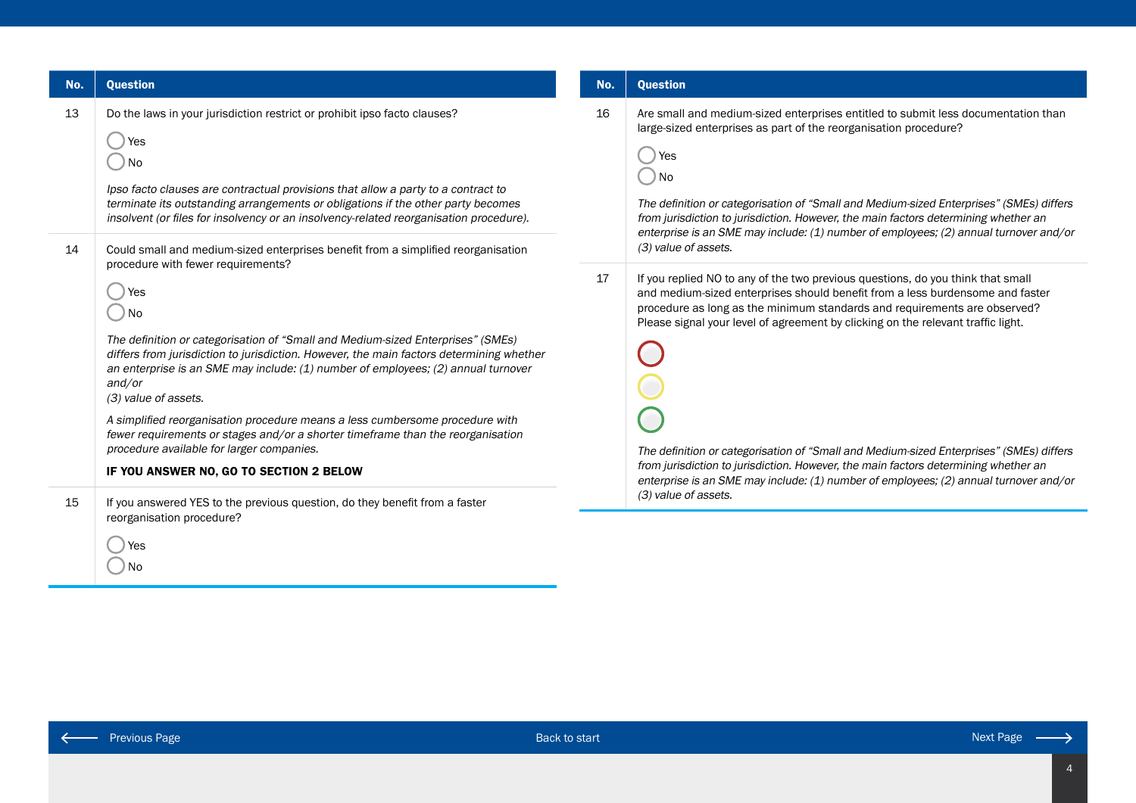| No. | <b>Question</b>                                                                                                                                                                                                                                                                                                                                                                                                                                                                                                                                                                                                                                                                                         | No.                                                                                                                                                              | <b>Question</b>                                                                                                                                                                                                                                                                                                                                                                                                                                                                                                     |
|-----|---------------------------------------------------------------------------------------------------------------------------------------------------------------------------------------------------------------------------------------------------------------------------------------------------------------------------------------------------------------------------------------------------------------------------------------------------------------------------------------------------------------------------------------------------------------------------------------------------------------------------------------------------------------------------------------------------------|------------------------------------------------------------------------------------------------------------------------------------------------------------------|---------------------------------------------------------------------------------------------------------------------------------------------------------------------------------------------------------------------------------------------------------------------------------------------------------------------------------------------------------------------------------------------------------------------------------------------------------------------------------------------------------------------|
| 13  | Do the laws in your jurisdiction restrict or prohibit ipso facto clauses?<br>l Yes<br>No<br>Ipso facto clauses are contractual provisions that allow a party to a contract to<br>terminate its outstanding arrangements or obligations if the other party becomes<br>insolvent (or files for insolvency or an insolvency-related reorganisation procedure).                                                                                                                                                                                                                                                                                                                                             | 16<br>Yes<br>⊃ No<br>(3) value of assets.<br>17<br>enterprise is an SME may include: (1) number of employees; (2) annual turnover and/or<br>(3) value of assets. | Are small and medium-sized enterprises entitled to submit less documentation than<br>large-sized enterprises as part of the reorganisation procedure?<br>The definition or categorisation of "Small and Medium-sized Enterprises" (SMEs) differs<br>from jurisdiction to jurisdiction. However, the main factors determining whether an<br>enterprise is an SME may include: (1) number of employees; (2) annual turnover and/or                                                                                    |
| 14  | Could small and medium-sized enterprises benefit from a simplified reorganisation<br>procedure with fewer requirements?<br>Yes<br>) No<br>The definition or categorisation of "Small and Medium-sized Enterprises" (SMEs)<br>differs from jurisdiction to jurisdiction. However, the main factors determining whether<br>an enterprise is an SME may include: (1) number of employees; (2) annual turnover<br>and/or<br>(3) value of assets.<br>A simplified reorganisation procedure means a less cumbersome procedure with<br>fewer requirements or stages and/or a shorter timeframe than the reorganisation<br>procedure available for larger companies.<br>IF YOU ANSWER NO, GO TO SECTION 2 BELOW |                                                                                                                                                                  | If you replied NO to any of the two previous questions, do you think that small<br>and medium-sized enterprises should benefit from a less burdensome and faster<br>procedure as long as the minimum standards and requirements are observed?<br>Please signal your level of agreement by clicking on the relevant traffic light.<br>The definition or categorisation of "Small and Medium-sized Enterprises" (SMEs) differs<br>from jurisdiction to jurisdiction. However, the main factors determining whether an |
| 15  | If you answered YES to the previous question, do they benefit from a faster<br>reorganisation procedure?<br>Yes                                                                                                                                                                                                                                                                                                                                                                                                                                                                                                                                                                                         |                                                                                                                                                                  |                                                                                                                                                                                                                                                                                                                                                                                                                                                                                                                     |

No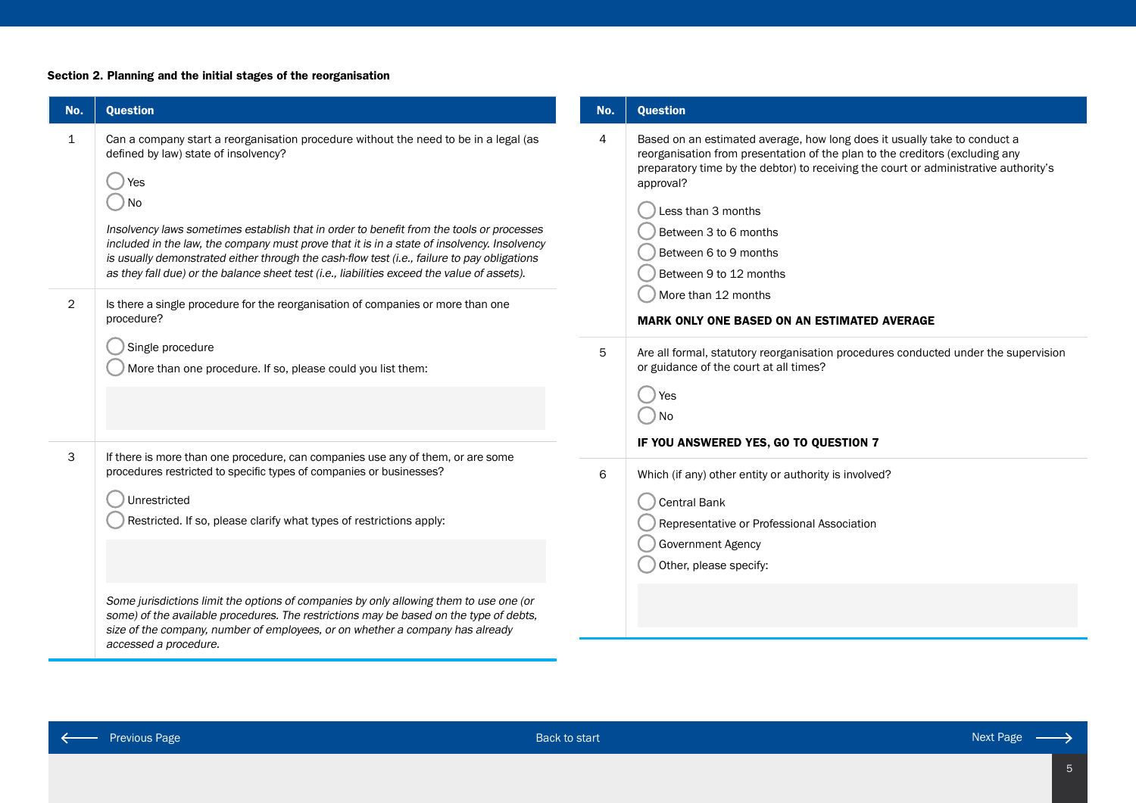## Section 2. Planning and the initial stages of the reorganisation

т

| No.                            | <b>Question</b>                                                                                                                                                                                                                                                                                                                                                                                                                                                                                                                                                                                                                        | No.            | <b>Question</b>                                                                                                                                                                                                                                                                                                                                                                                                                               |
|--------------------------------|----------------------------------------------------------------------------------------------------------------------------------------------------------------------------------------------------------------------------------------------------------------------------------------------------------------------------------------------------------------------------------------------------------------------------------------------------------------------------------------------------------------------------------------------------------------------------------------------------------------------------------------|----------------|-----------------------------------------------------------------------------------------------------------------------------------------------------------------------------------------------------------------------------------------------------------------------------------------------------------------------------------------------------------------------------------------------------------------------------------------------|
| $\mathbf{1}$<br>$\overline{2}$ | Can a company start a reorganisation procedure without the need to be in a legal (as<br>defined by law) state of insolvency?<br>Yes<br>) No<br>Insolvency laws sometimes establish that in order to benefit from the tools or processes<br>included in the law, the company must prove that it is in a state of insolvency. Insolvency<br>is usually demonstrated either through the cash-flow test (i.e., failure to pay obligations<br>as they fall due) or the balance sheet test (i.e., liabilities exceed the value of assets).<br>Is there a single procedure for the reorganisation of companies or more than one<br>procedure? | $\overline{4}$ | Based on an estimated average, how long does it usually take to conduct a<br>reorganisation from presentation of the plan to the creditors (excluding any<br>preparatory time by the debtor) to receiving the court or administrative authority's<br>approval?<br>Less than 3 months<br>Between 3 to 6 months<br>Between 6 to 9 months<br>Between 9 to 12 months<br>More than 12 months<br><b>MARK ONLY ONE BASED ON AN ESTIMATED AVERAGE</b> |
|                                | Single procedure<br>More than one procedure. If so, please could you list them:                                                                                                                                                                                                                                                                                                                                                                                                                                                                                                                                                        | 5              | Are all formal, statutory reorganisation procedures conducted under the supervision<br>or guidance of the court at all times?<br>) Yes<br>$\bigcirc$ No<br>IF YOU ANSWERED YES, GO TO QUESTION 7                                                                                                                                                                                                                                              |
| 3                              | If there is more than one procedure, can companies use any of them, or are some<br>procedures restricted to specific types of companies or businesses?<br>Unrestricted<br>Restricted. If so, please clarify what types of restrictions apply:                                                                                                                                                                                                                                                                                                                                                                                          | 6              | Which (if any) other entity or authority is involved?<br>Central Bank<br>Representative or Professional Association<br><b>Government Agency</b><br>Other, please specify:                                                                                                                                                                                                                                                                     |
|                                | Some jurisdictions limit the options of companies by only allowing them to use one (or<br>some) of the available procedures. The restrictions may be based on the type of debts,<br>size of the company, number of employees, or on whether a company has already<br>accessed a procedure.                                                                                                                                                                                                                                                                                                                                             |                |                                                                                                                                                                                                                                                                                                                                                                                                                                               |

 $\leftarrow$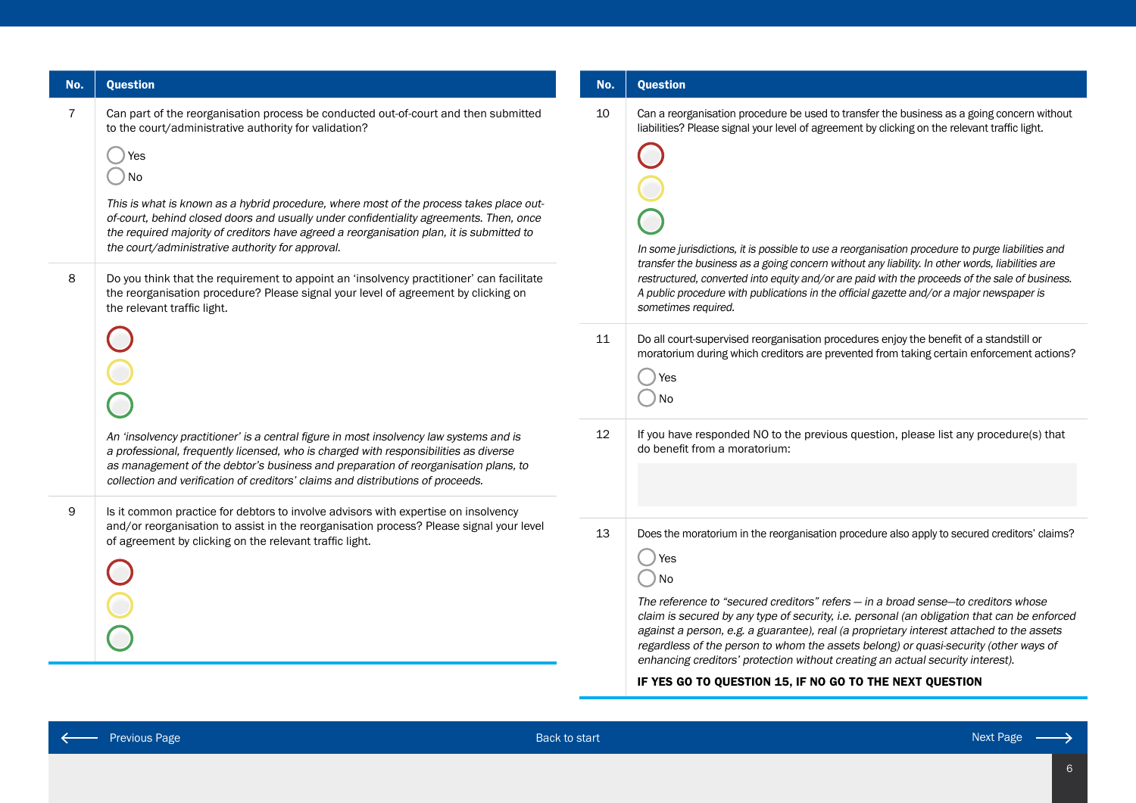| No.                 | <b>Question</b>                                                                                                                                                                                                                                                                                                                                                                                                                                                                                                                                                                                                                                                                                                                                                                                                                                                                                                                                                                                                                                                                  | No.            | <b>Question</b>                                                                                                                                                                                                                                                                                                                                                                                                                                                                                                                                                                                                                                                                                                                                                                                                                                                                                                                                             |
|---------------------|----------------------------------------------------------------------------------------------------------------------------------------------------------------------------------------------------------------------------------------------------------------------------------------------------------------------------------------------------------------------------------------------------------------------------------------------------------------------------------------------------------------------------------------------------------------------------------------------------------------------------------------------------------------------------------------------------------------------------------------------------------------------------------------------------------------------------------------------------------------------------------------------------------------------------------------------------------------------------------------------------------------------------------------------------------------------------------|----------------|-------------------------------------------------------------------------------------------------------------------------------------------------------------------------------------------------------------------------------------------------------------------------------------------------------------------------------------------------------------------------------------------------------------------------------------------------------------------------------------------------------------------------------------------------------------------------------------------------------------------------------------------------------------------------------------------------------------------------------------------------------------------------------------------------------------------------------------------------------------------------------------------------------------------------------------------------------------|
| $\overline{7}$<br>8 | Can part of the reorganisation process be conducted out-of-court and then submitted<br>to the court/administrative authority for validation?<br>) Yes<br>$)$ No<br>This is what is known as a hybrid procedure, where most of the process takes place out-<br>of-court, behind closed doors and usually under confidentiality agreements. Then, once<br>the required majority of creditors have agreed a reorganisation plan, it is submitted to<br>the court/administrative authority for approval.<br>Do you think that the requirement to appoint an 'insolvency practitioner' can facilitate<br>the reorganisation procedure? Please signal your level of agreement by clicking on<br>the relevant traffic light.<br>An 'insolvency practitioner' is a central figure in most insolvency law systems and is<br>a professional, frequently licensed, who is charged with responsibilities as diverse<br>as management of the debtor's business and preparation of reorganisation plans, to<br>collection and verification of creditors' claims and distributions of proceeds. | 10<br>11<br>12 | Can a reorganisation procedure be used to transfer the business as a going concern without<br>liabilities? Please signal your level of agreement by clicking on the relevant traffic light.<br>In some jurisdictions, it is possible to use a reorganisation procedure to purge liabilities and<br>transfer the business as a going concern without any liability. In other words, liabilities are<br>restructured, converted into equity and/or are paid with the proceeds of the sale of business.<br>A public procedure with publications in the official gazette and/or a major newspaper is<br>sometimes required.<br>Do all court-supervised reorganisation procedures enjoy the benefit of a standstill or<br>moratorium during which creditors are prevented from taking certain enforcement actions?<br>res<br>$\big)$ No<br>If you have responded NO to the previous question, please list any procedure(s) that<br>do benefit from a moratorium: |
| 9                   | Is it common practice for debtors to involve advisors with expertise on insolvency<br>and/or reorganisation to assist in the reorganisation process? Please signal your level<br>of agreement by clicking on the relevant traffic light.                                                                                                                                                                                                                                                                                                                                                                                                                                                                                                                                                                                                                                                                                                                                                                                                                                         | 13             | Does the moratorium in the reorganisation procedure also apply to secured creditors' claims?<br>res<br>$\bigcirc$ No<br>The reference to "secured creditors" refers - in a broad sense-to creditors whose<br>claim is secured by any type of security, i.e. personal (an obligation that can be enforced<br>against a person, e.g. a guarantee), real (a proprietary interest attached to the assets<br>regardless of the person to whom the assets belong) or quasi-security (other ways of<br>enhancing creditors' protection without creating an actual security interest).<br>IF YES GO TO OUESTION 15. IF NO GO TO THE NEXT OUESTION                                                                                                                                                                                                                                                                                                                   |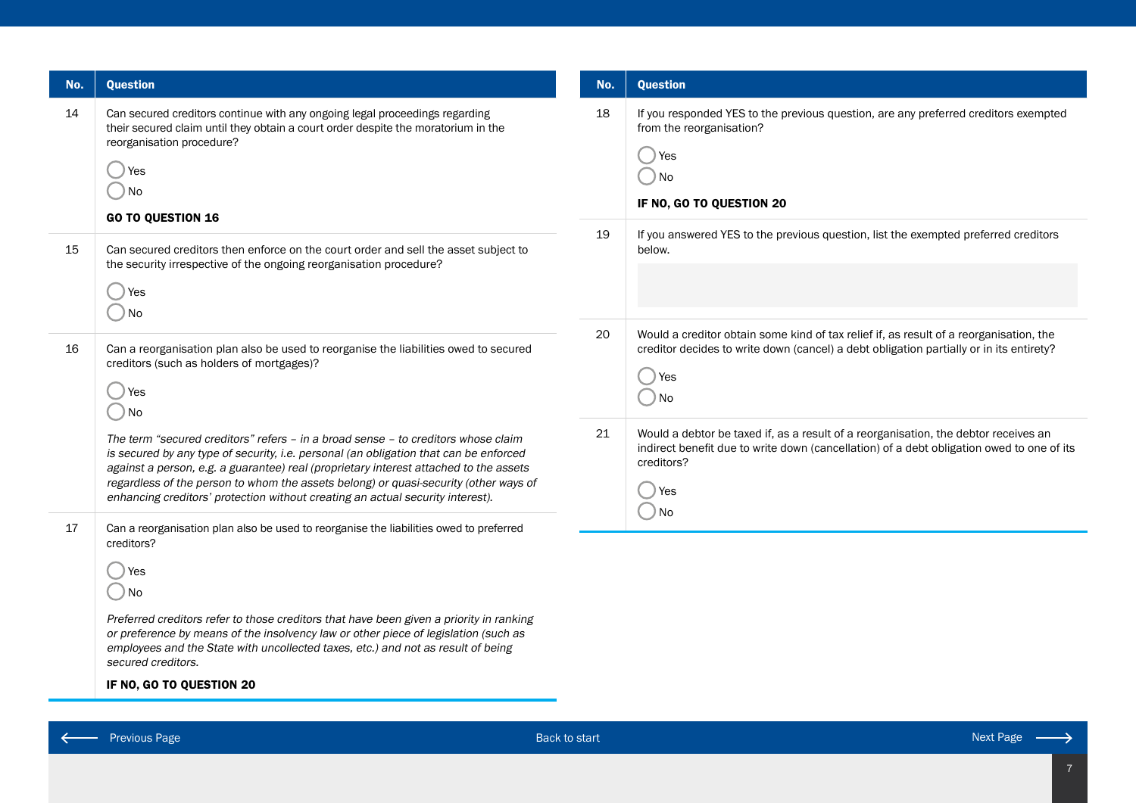| No. | <b>Question</b>                                                                                                                                                                                                                                                                                                                                                                                                 | No.      | <b>Question</b>                                                                                                                                                                                                                                                                                                                                                                                        |
|-----|-----------------------------------------------------------------------------------------------------------------------------------------------------------------------------------------------------------------------------------------------------------------------------------------------------------------------------------------------------------------------------------------------------------------|----------|--------------------------------------------------------------------------------------------------------------------------------------------------------------------------------------------------------------------------------------------------------------------------------------------------------------------------------------------------------------------------------------------------------|
| 14  | Can secured creditors continue with any ongoing legal proceedings regarding<br>their secured claim until they obtain a court order despite the moratorium in the<br>reorganisation procedure?<br>Yes<br>) No<br><b>GO TO QUESTION 16</b>                                                                                                                                                                        | 18       | If you responded YES to the previous question, are any preferred creditors exempted<br>from the reorganisation?<br><i>Yes</i><br>$)$ No<br>IF NO, GO TO QUESTION 20                                                                                                                                                                                                                                    |
| 15  | Can secured creditors then enforce on the court order and sell the asset subject to<br>the security irrespective of the ongoing reorganisation procedure?<br>Yes<br>) No                                                                                                                                                                                                                                        | 19       | If you answered YES to the previous question, list the exempted preferred creditors<br>below.                                                                                                                                                                                                                                                                                                          |
| 16  | Can a reorganisation plan also be used to reorganise the liabilities owed to secured<br>creditors (such as holders of mortgages)?<br>Yes<br>) No<br>The term "secured creditors" refers - in a broad sense - to creditors whose claim<br>is secured by any type of security, i.e. personal (an obligation that can be enforced                                                                                  | 20<br>21 | Would a creditor obtain some kind of tax relief if, as result of a reorganisation, the<br>creditor decides to write down (cancel) a debt obligation partially or in its entirety?<br>) Yes<br>$)$ No<br>Would a debtor be taxed if, as a result of a reorganisation, the debtor receives an<br>indirect benefit due to write down (cancellation) of a debt obligation owed to one of its<br>creditors? |
|     | against a person, e.g. a guarantee) real (proprietary interest attached to the assets<br>regardless of the person to whom the assets belong) or quasi-security (other ways of<br>enhancing creditors' protection without creating an actual security interest).                                                                                                                                                 |          | Yes<br>$)$ No                                                                                                                                                                                                                                                                                                                                                                                          |
| 17  | Can a reorganisation plan also be used to reorganise the liabilities owed to preferred<br>creditors?<br>Yes<br>) No<br>Preferred creditors refer to those creditors that have been given a priority in ranking<br>or preference by means of the insolvency law or other piece of legislation (such as<br>employees and the State with uncollected taxes, etc.) and not as result of being<br>secured creditors. |          |                                                                                                                                                                                                                                                                                                                                                                                                        |
|     | IF NO, GO TO QUESTION 20                                                                                                                                                                                                                                                                                                                                                                                        |          |                                                                                                                                                                                                                                                                                                                                                                                                        |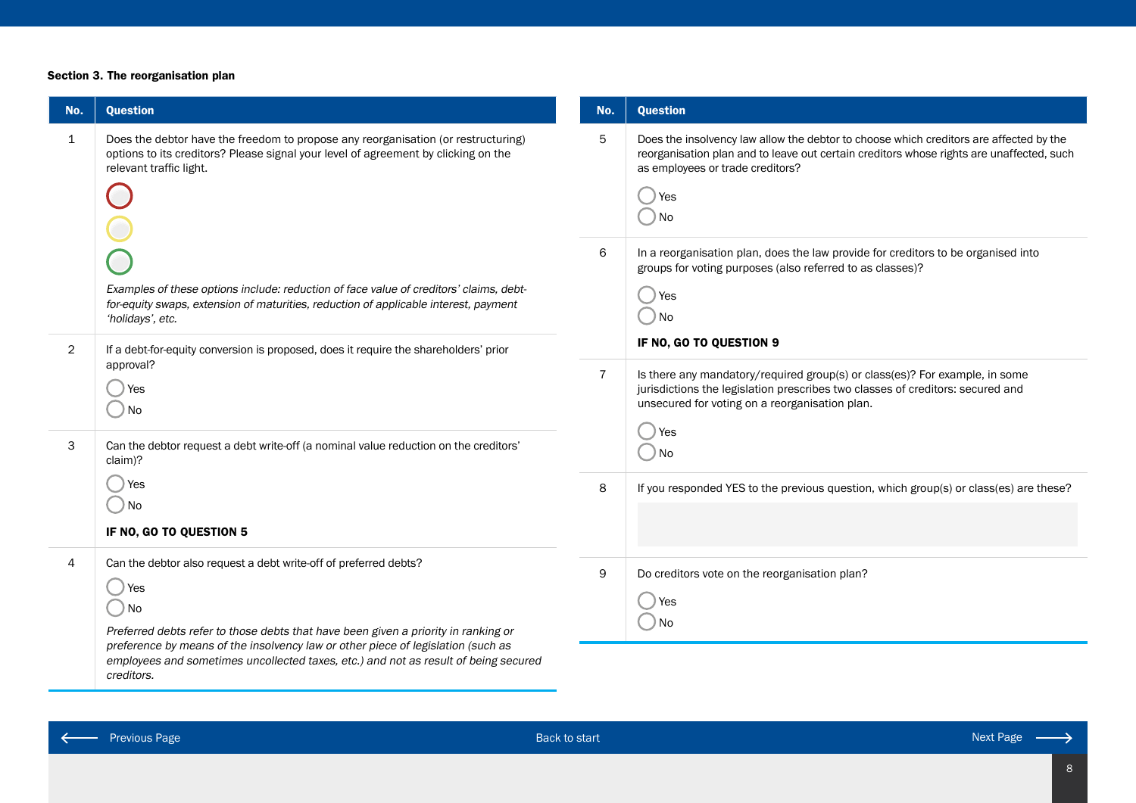#### Section 3. The reorganisation plan

| No.          | <b>Question</b>                                                                                                                                                                                                                                                                                                                                                  | No.            | <b>Question</b>                                                                                                                                                                                                                         |
|--------------|------------------------------------------------------------------------------------------------------------------------------------------------------------------------------------------------------------------------------------------------------------------------------------------------------------------------------------------------------------------|----------------|-----------------------------------------------------------------------------------------------------------------------------------------------------------------------------------------------------------------------------------------|
| $\mathbf{1}$ | Does the debtor have the freedom to propose any reorganisation (or restructuring)<br>options to its creditors? Please signal your level of agreement by clicking on the<br>relevant traffic light.                                                                                                                                                               | 5              | Does the insolvency law allow the debtor to choose which creditors are affected by the<br>reorganisation plan and to leave out certain creditors whose rights are unaffected, such<br>as employees or trade creditors?<br>) Yes<br>) No |
| 2            | Examples of these options include: reduction of face value of creditors' claims, debt-<br>for-equity swaps, extension of maturities, reduction of applicable interest, payment<br>'holidays', etc.<br>If a debt-for-equity conversion is proposed, does it require the shareholders' prior                                                                       | 6              | In a reorganisation plan, does the law provide for creditors to be organised into<br>groups for voting purposes (also referred to as classes)?<br>Yes<br>│ ) No<br>IF NO, GO TO QUESTION 9                                              |
| 3            | approval?<br>) Yes<br>) No<br>Can the debtor request a debt write-off (a nominal value reduction on the creditors'<br>claim)?                                                                                                                                                                                                                                    | $\overline{7}$ | Is there any mandatory/required group(s) or class(es)? For example, in some<br>jurisdictions the legislation prescribes two classes of creditors: secured and<br>unsecured for voting on a reorganisation plan.<br>) Yes<br>) No        |
|              | ) Yes<br>○No<br>IF NO, GO TO QUESTION 5                                                                                                                                                                                                                                                                                                                          | 8              | If you responded YES to the previous question, which group(s) or class(es) are these?                                                                                                                                                   |
| 4            | Can the debtor also request a debt write-off of preferred debts?<br>) Yes<br>◯ No<br>Preferred debts refer to those debts that have been given a priority in ranking or<br>preference by means of the insolvency law or other piece of legislation (such as<br>employees and sometimes uncollected taxes, etc.) and not as result of being secured<br>creditors. | 9              | Do creditors vote on the reorganisation plan?<br>Yes<br>) No                                                                                                                                                                            |

 $\leftarrow$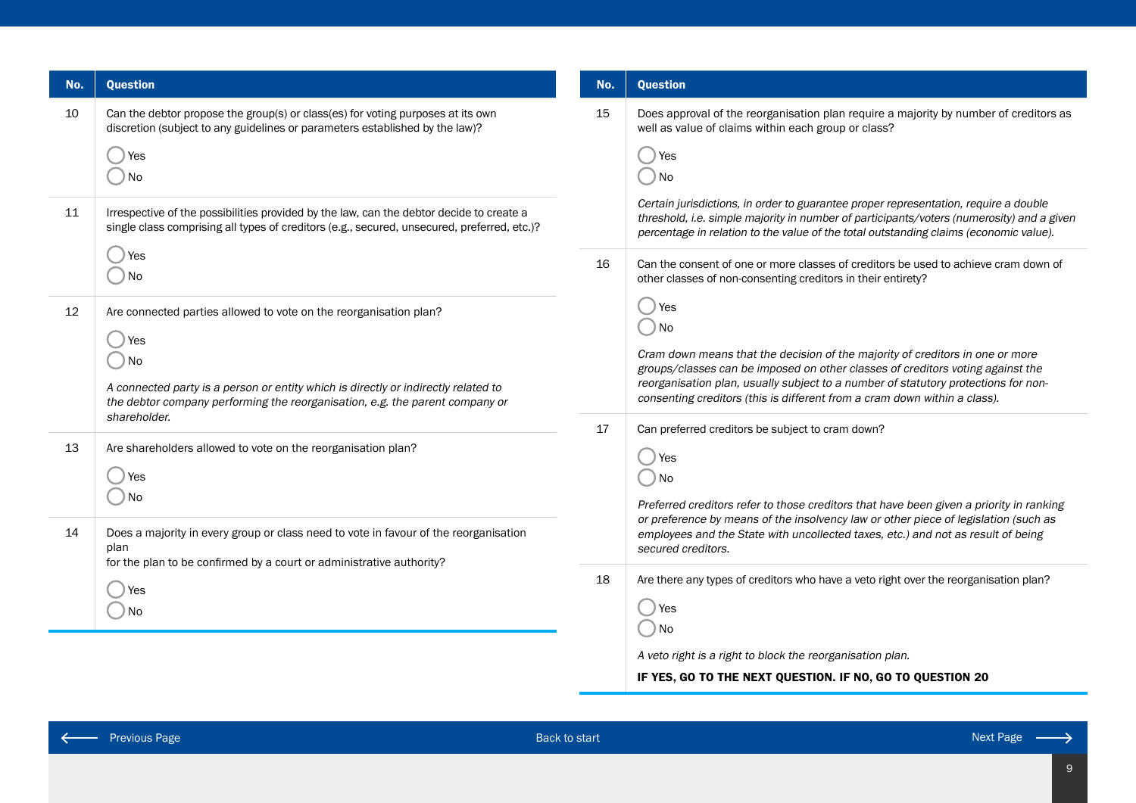| No.               | <b>Question</b>                                                                                                                                                                                                                                          | No. | <b>Question</b>                                                                                                                                                                                                                                                                                                                                                                                                                                                                                                          |
|-------------------|----------------------------------------------------------------------------------------------------------------------------------------------------------------------------------------------------------------------------------------------------------|-----|--------------------------------------------------------------------------------------------------------------------------------------------------------------------------------------------------------------------------------------------------------------------------------------------------------------------------------------------------------------------------------------------------------------------------------------------------------------------------------------------------------------------------|
| 10                | Can the debtor propose the group(s) or class(es) for voting purposes at its own<br>discretion (subject to any guidelines or parameters established by the law)?<br>) Yes<br>$)$ No                                                                       | 15  | Does approval of the reorganisation plan require a majority by number of creditors as<br>well as value of claims within each group or class?<br>) Yes<br>) No                                                                                                                                                                                                                                                                                                                                                            |
| 11                | Irrespective of the possibilities provided by the law, can the debtor decide to create a<br>single class comprising all types of creditors (e.g., secured, unsecured, preferred, etc.)?                                                                  |     | Certain jurisdictions, in order to guarantee proper representation, require a double<br>threshold, i.e. simple majority in number of participants/voters (numerosity) and a given<br>percentage in relation to the value of the total outstanding claims (economic value).                                                                                                                                                                                                                                               |
|                   | ) Yes<br>$)$ No                                                                                                                                                                                                                                          | 16  | Can the consent of one or more classes of creditors be used to achieve cram down of<br>other classes of non-consenting creditors in their entirety?                                                                                                                                                                                                                                                                                                                                                                      |
| $12 \overline{ }$ | Are connected parties allowed to vote on the reorganisation plan?<br>res<br>$)$ No<br>A connected party is a person or entity which is directly or indirectly related to<br>the debtor company performing the reorganisation, e.g. the parent company or | 17  | (res<br>$\big)$ No<br>Cram down means that the decision of the majority of creditors in one or more<br>groups/classes can be imposed on other classes of creditors voting against the<br>reorganisation plan, usually subject to a number of statutory protections for non-<br>consenting creditors (this is different from a cram down within a class).<br>Can preferred creditors be subject to cram down?<br>) Yes<br>) No<br>Preferred creditors refer to those creditors that have been given a priority in ranking |
| 13                | shareholder.<br>Are shareholders allowed to vote on the reorganisation plan?<br>) Yes<br>$)$ No                                                                                                                                                          |     |                                                                                                                                                                                                                                                                                                                                                                                                                                                                                                                          |
| 14                | Does a majority in every group or class need to vote in favour of the reorganisation<br>plan<br>for the plan to be confirmed by a court or administrative authority?                                                                                     |     | secured creditors.                                                                                                                                                                                                                                                                                                                                                                                                                                                                                                       |
|                   | ) Yes<br>) No                                                                                                                                                                                                                                            | 18  | Are there any types of creditors who have a veto right over the reorganisation plan?<br>res<br>) No<br>A veto right is a right to block the reorganisation plan.                                                                                                                                                                                                                                                                                                                                                         |

## IF YES, GO TO THE NEXT QUESTION. IF NO, GO TO QUESTION 20

 $\leftarrow$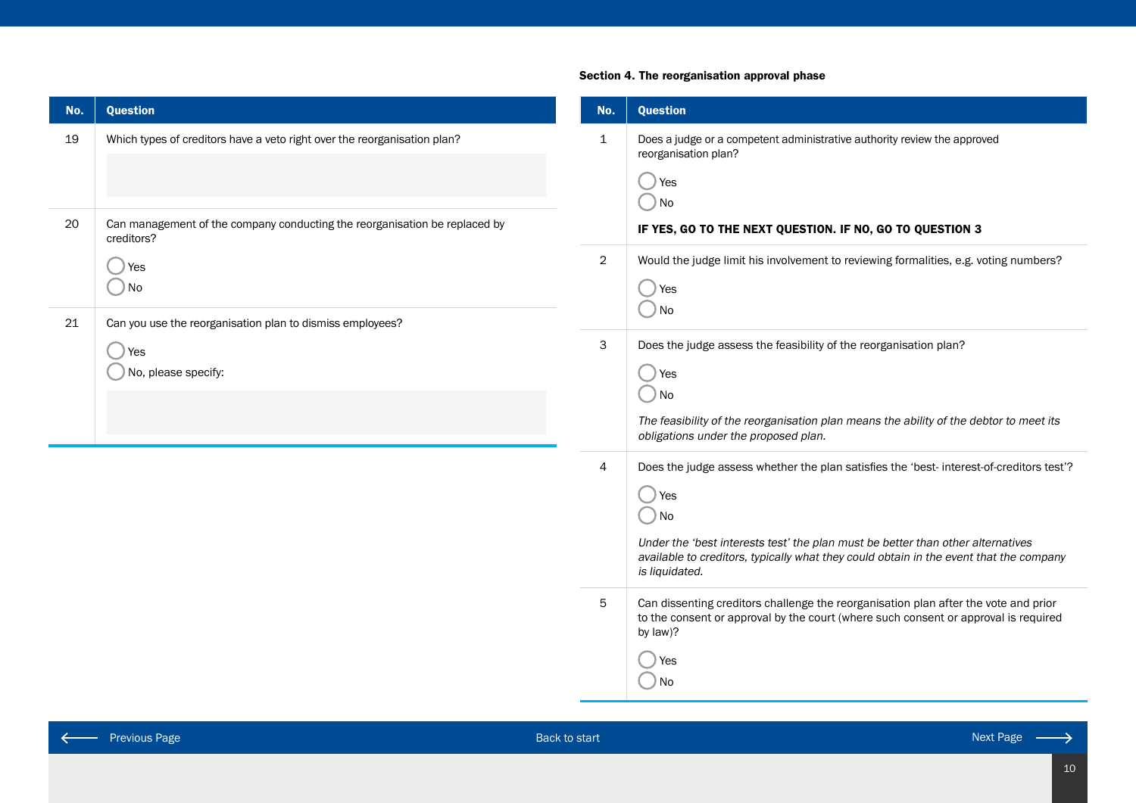## Section 4. The reorganisation approval phase

| No. | <b>Question</b>                                                                          | No.            | <b>Question</b>                                                                                                                                                                                                                                                                                                   |
|-----|------------------------------------------------------------------------------------------|----------------|-------------------------------------------------------------------------------------------------------------------------------------------------------------------------------------------------------------------------------------------------------------------------------------------------------------------|
| 19  | Which types of creditors have a veto right over the reorganisation plan?                 | $\mathbf{1}$   | Does a judge or a competent administrative authority review the approved<br>reorganisation plan?<br>◯ Yes<br>$\bigcirc$ No                                                                                                                                                                                        |
| 20  | Can management of the company conducting the reorganisation be replaced by<br>creditors? |                | IF YES, GO TO THE NEXT QUESTION. IF NO, GO TO QUESTION 3                                                                                                                                                                                                                                                          |
| 21  | ) Yes<br>$)$ No<br>Can you use the reorganisation plan to dismiss employees?             | $\overline{2}$ | Would the judge limit his involvement to reviewing formalities, e.g. voting numbers?<br>◯ Yes<br>$\bigcirc$ No                                                                                                                                                                                                    |
|     | ) Yes<br>No, please specify:                                                             | 3              | Does the judge assess the feasibility of the reorganisation plan?<br>() Yes<br>$\bigcirc$ No<br>The feasibility of the reorganisation plan means the ability of the debtor to meet its<br>obligations under the proposed plan.                                                                                    |
|     |                                                                                          | 4              | Does the judge assess whether the plan satisfies the 'best- interest-of-creditors test'?<br>◯ Yes<br>$\bigcirc$ No<br>Under the 'best interests test' the plan must be better than other alternatives<br>available to creditors, typically what they could obtain in the event that the company<br>is liquidated. |
|     |                                                                                          | 5              | Can dissenting creditors challenge the reorganisation plan after the vote and prior<br>to the consent or approval by the court (where such consent or approval is required<br>by law)?<br>Yes<br>)No                                                                                                              |

 $\leftarrow$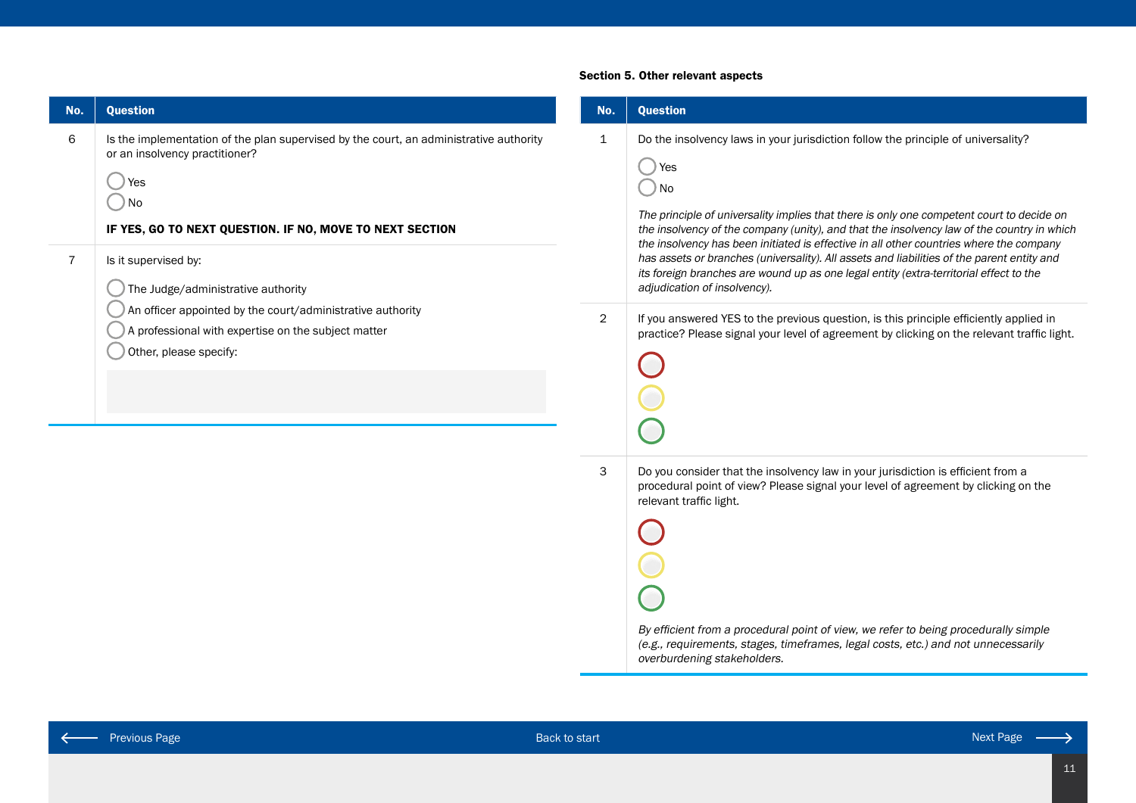| 1 |               |
|---|---------------|
|   |               |
|   |               |
|   |               |
|   |               |
|   |               |
|   |               |
|   |               |
|   |               |
|   |               |
|   |               |
|   | $\mathcal{P}$ |

#### Section 5. Other relevant aspects

overburdening stakeholders.

| No.          | <b>Question</b>                                                                                                                                                                                                                                                                                                                                                                                                                                                                                                                                                                                              |
|--------------|--------------------------------------------------------------------------------------------------------------------------------------------------------------------------------------------------------------------------------------------------------------------------------------------------------------------------------------------------------------------------------------------------------------------------------------------------------------------------------------------------------------------------------------------------------------------------------------------------------------|
| $\mathbf 1$  | Do the insolvency laws in your jurisdiction follow the principle of universality?<br>Yes<br>No<br>The principle of universality implies that there is only one competent court to decide on<br>the insolvency of the company (unity), and that the insolvency law of the country in which<br>the insolvency has been initiated is effective in all other countries where the company<br>has assets or branches (universality). All assets and liabilities of the parent entity and<br>its foreign branches are wound up as one legal entity (extra-territorial effect to the<br>adjudication of insolvency). |
| $\mathbf{2}$ | If you answered YES to the previous question, is this principle efficiently applied in<br>practice? Please signal your level of agreement by clicking on the relevant traffic light.                                                                                                                                                                                                                                                                                                                                                                                                                         |
| 3            | Do you consider that the insolvency law in your jurisdiction is efficient from a<br>procedural point of view? Please signal your level of agreement by clicking on the<br>relevant traffic light.<br>By efficient from a procedural point of view, we refer to being procedurally simple<br>(e.g., requirements, stages, timeframes, legal costs, etc.) and not unnecessarily                                                                                                                                                                                                                                |

 $\leftarrow$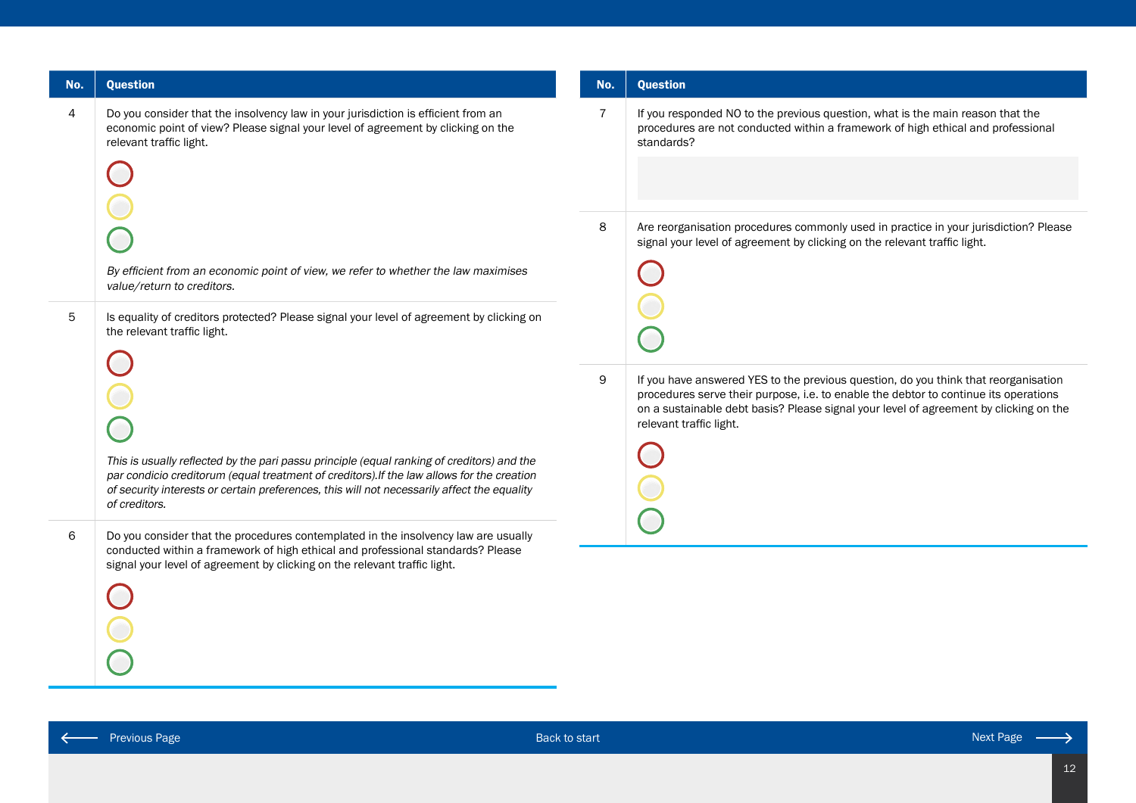| No. | Question                                                                                                                                                                                                                                                                                                                                                                                                                                                          | No.                 | <b>Question</b>                                                                                                                                                                                                                                                                                                                                       |
|-----|-------------------------------------------------------------------------------------------------------------------------------------------------------------------------------------------------------------------------------------------------------------------------------------------------------------------------------------------------------------------------------------------------------------------------------------------------------------------|---------------------|-------------------------------------------------------------------------------------------------------------------------------------------------------------------------------------------------------------------------------------------------------------------------------------------------------------------------------------------------------|
| 4   | Do you consider that the insolvency law in your jurisdiction is efficient from an<br>economic point of view? Please signal your level of agreement by clicking on the<br>relevant traffic light.<br>By efficient from an economic point of view, we refer to whether the law maximises                                                                                                                                                                            | $\overline{7}$<br>8 | If you responded NO to the previous question, what is the main reason that the<br>procedures are not conducted within a framework of high ethical and professional<br>standards?<br>Are reorganisation procedures commonly used in practice in your jurisdiction? Please<br>signal your level of agreement by clicking on the relevant traffic light. |
| 5   | value/return to creditors.<br>Is equality of creditors protected? Please signal your level of agreement by clicking on<br>the relevant traffic light.<br>This is usually reflected by the pari passu principle (equal ranking of creditors) and the<br>par condicio creditorum (equal treatment of creditors). If the law allows for the creation<br>of security interests or certain preferences, this will not necessarily affect the equality<br>of creditors. | $\mathsf 9$         | If you have answered YES to the previous question, do you think that reorganisation<br>procedures serve their purpose, i.e. to enable the debtor to continue its operations<br>on a sustainable debt basis? Please signal your level of agreement by clicking on the<br>relevant traffic light.                                                       |
| 6   | Do you consider that the procedures contemplated in the insolvency law are usually<br>conducted within a framework of high ethical and professional standards? Please<br>signal your level of agreement by clicking on the relevant traffic light.                                                                                                                                                                                                                |                     |                                                                                                                                                                                                                                                                                                                                                       |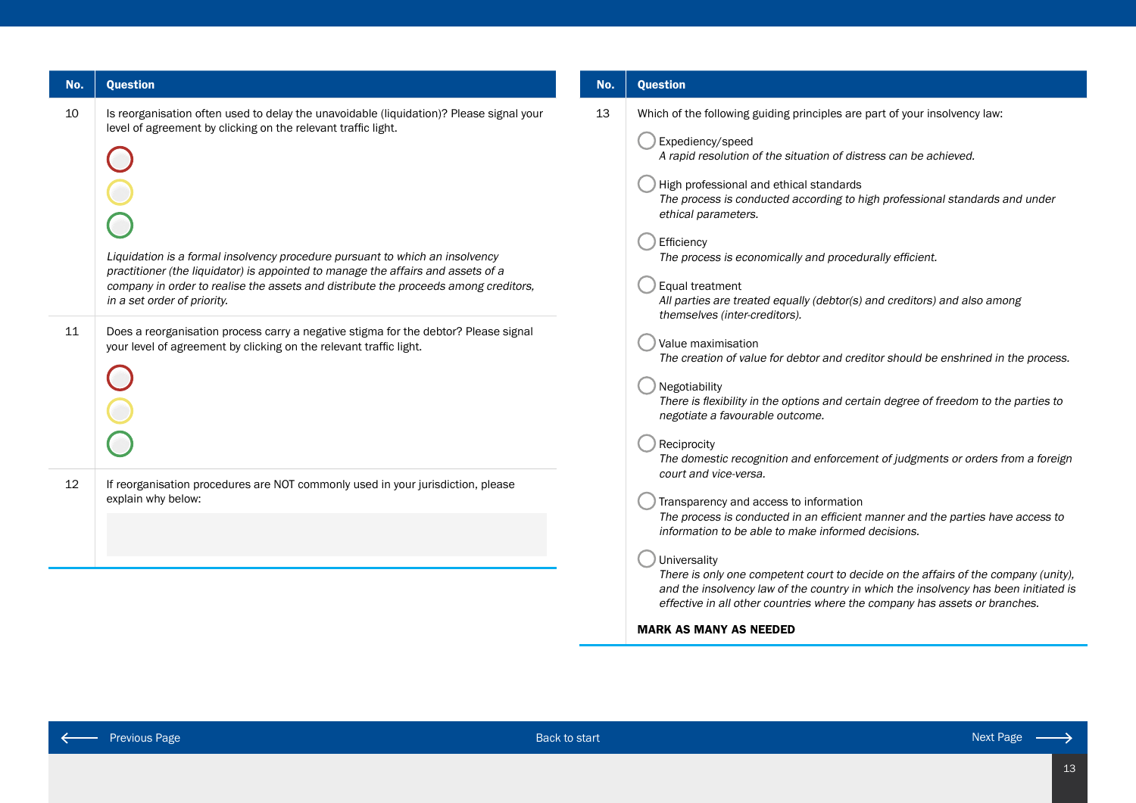| No. | <b>Question</b>                                                                                                                                                                                                                                                                                                                                                                                                                                    |
|-----|----------------------------------------------------------------------------------------------------------------------------------------------------------------------------------------------------------------------------------------------------------------------------------------------------------------------------------------------------------------------------------------------------------------------------------------------------|
| 10  | Is reorganisation often used to delay the unavoidable (liquidation)? Please signal your<br>level of agreement by clicking on the relevant traffic light.<br>Liquidation is a formal insolvency procedure pursuant to which an insolvency<br>practitioner (the liquidator) is appointed to manage the affairs and assets of a<br>company in order to realise the assets and distribute the proceeds among creditors,<br>in a set order of priority. |
| 11  | Does a reorganisation process carry a negative stigma for the debtor? Please signal<br>your level of agreement by clicking on the relevant traffic light.                                                                                                                                                                                                                                                                                          |
| 12  | If reorganisation procedures are NOT commonly used in your jurisdiction, please<br>explain why below:                                                                                                                                                                                                                                                                                                                                              |

## No. Question

| 13 | Which of the following guiding principles are part of your insolvency law:                                                                                                                                                                                              |
|----|-------------------------------------------------------------------------------------------------------------------------------------------------------------------------------------------------------------------------------------------------------------------------|
|    | Expediency/speed<br>A rapid resolution of the situation of distress can be achieved.                                                                                                                                                                                    |
|    | High professional and ethical standards<br>The process is conducted according to high professional standards and under<br>ethical parameters.                                                                                                                           |
|    | Efficiency<br>The process is economically and procedurally efficient.                                                                                                                                                                                                   |
|    | Equal treatment<br>All parties are treated equally (debtor(s) and creditors) and also among<br>themselves (inter-creditors).                                                                                                                                            |
|    | Value maximisation<br>The creation of value for debtor and creditor should be enshrined in the process.                                                                                                                                                                 |
|    | Negotiability<br>There is flexibility in the options and certain degree of freedom to the parties to<br>negotiate a favourable outcome.                                                                                                                                 |
|    | Reciprocity<br>The domestic recognition and enforcement of judgments or orders from a foreign<br>court and vice-versa.                                                                                                                                                  |
|    | Transparency and access to information<br>The process is conducted in an efficient manner and the parties have access to<br>information to be able to make informed decisions.                                                                                          |
|    | Universality<br>There is only one competent court to decide on the affairs of the company (unity),<br>and the insolvency law of the country in which the insolvency has been initiated is<br>effective in all other countries where the company has assets or branches. |
|    | <b>MARK AS MANY AS NEEDED</b>                                                                                                                                                                                                                                           |
|    |                                                                                                                                                                                                                                                                         |

 $\leftarrow$